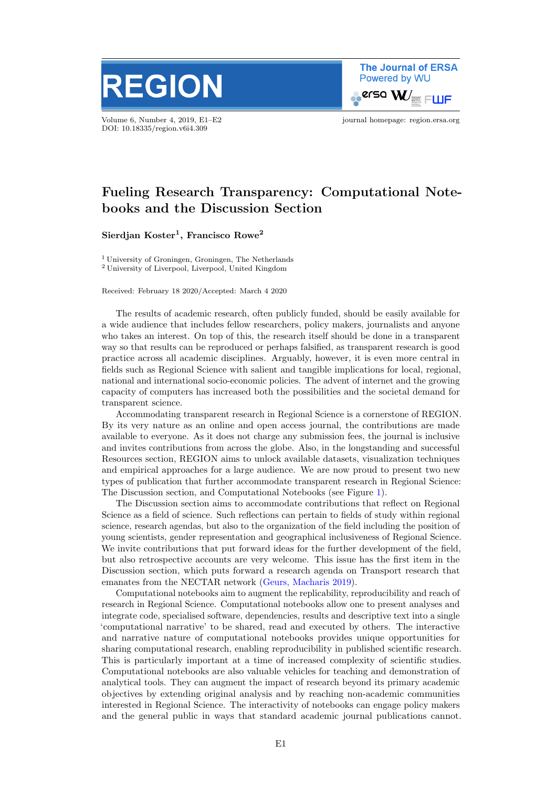

Volume 6, Number 4, 2019, E1–E2 journal homepage: region.ersa.org DOI: 10.18335/region.v6i4.309

**The Journal of ERSA** Powered by WU  $\bullet$ erso W $\equiv$  FWF

## Fueling Research Transparency: Computational Notebooks and the Discussion Section

 $\mathrm{Sierdjan\ Koster}^1,$  Francisco  $\mathrm{Rowe}^2$ 

<sup>1</sup> University of Groningen, Groningen, The Netherlands <sup>2</sup> University of Liverpool, Liverpool, United Kingdom

Received: February 18 2020/Accepted: March 4 2020

The results of academic research, often publicly funded, should be easily available for a wide audience that includes fellow researchers, policy makers, journalists and anyone who takes an interest. On top of this, the research itself should be done in a transparent way so that results can be reproduced or perhaps falsified, as transparent research is good practice across all academic disciplines. Arguably, however, it is even more central in fields such as Regional Science with salient and tangible implications for local, regional, national and international socio-economic policies. The advent of internet and the growing capacity of computers has increased both the possibilities and the societal demand for transparent science.

Accommodating transparent research in Regional Science is a cornerstone of REGION. By its very nature as an online and open access journal, the contributions are made available to everyone. As it does not charge any submission fees, the journal is inclusive and invites contributions from across the globe. Also, in the longstanding and successful Resources section, REGION aims to unlock available datasets, visualization techniques and empirical approaches for a large audience. We are now proud to present two new types of publication that further accommodate transparent research in Regional Science: The Discussion section, and Computational Notebooks (see Figure [1\)](#page-1-0).

The Discussion section aims to accommodate contributions that reflect on Regional Science as a field of science. Such reflections can pertain to fields of study within regional science, research agendas, but also to the organization of the field including the position of young scientists, gender representation and geographical inclusiveness of Regional Science. We invite contributions that put forward ideas for the further development of the field, but also retrospective accounts are very welcome. This issue has the first item in the Discussion section, which puts forward a research agenda on Transport research that emanates from the NECTAR network [\(Geurs, Macharis](#page-1-1) [2019\)](#page-1-1).

Computational notebooks aim to augment the replicability, reproducibility and reach of research in Regional Science. Computational notebooks allow one to present analyses and integrate code, specialised software, dependencies, results and descriptive text into a single 'computational narrative' to be shared, read and executed by others. The interactive and narrative nature of computational notebooks provides unique opportunities for sharing computational research, enabling reproducibility in published scientific research. This is particularly important at a time of increased complexity of scientific studies. Computational notebooks are also valuable vehicles for teaching and demonstration of analytical tools. They can augment the impact of research beyond its primary academic objectives by extending original analysis and by reaching non-academic communities interested in Regional Science. The interactivity of notebooks can engage policy makers and the general public in ways that standard academic journal publications cannot.